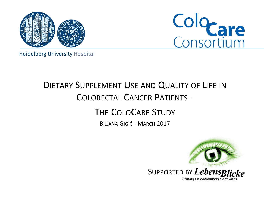



**Heidelberg University Hospital** 

## DIETARY SUPPLEMENT USE AND QUALITY OF LIFE IN COLORECTAL CANCER PATIENTS -

### THE COLOCARE STUDY

BILJANA GIGIĆ - MARCH 2017

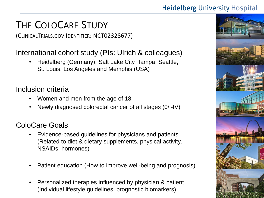## THE COLOCARE STUDY

(CLINICALTRIALS.GOV IDENTIFIER: NCT02328677)

#### International cohort study (PIs: Ulrich & colleagues)

• Heidelberg (Germany), Salt Lake City, Tampa, Seattle, St. Louis, Los Angeles and Memphis (USA)

#### Inclusion criteria

- Women and men from the age of 18
- Newly diagnosed colorectal cancer of all stages (0/I-IV)

#### ColoCare Goals

- Evidence-based guidelines for physicians and patients (Related to diet & dietary supplements, physical activity, NSAIDs, hormones)
- Patient education (How to improve well-being and prognosis)
- Personalized therapies influenced by physician & patient (Individual lifestyle guidelines, prognostic biomarkers)

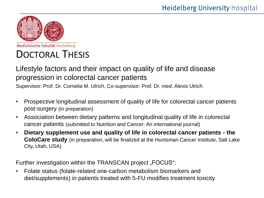

Medizinische Fakultät Heidelberg

## DOCTORAL THESIS

#### Lifestyle factors and their impact on quality of life and disease progression in colorectal cancer patients

Supervisor: Prof. Dr. Cornelia M. Ulrich, Co-supervisor: Prof. Dr. med. Alexis Ulrich

- Prospective longitudinal assessment of quality of life for colorectal cancer patients post-surgery (in preparation)
- Association between dietary patterns and longitudinal quality of life in colorectal cancer patients (submitted to Nutrition and Cancer: An international journal)
- **Dietary supplement use and quality of life in colorectal cancer patients - the ColoCare study** (in preparation, will be finalized at the Huntsman Cancer Institute, Salt Lake City, Utah, USA)

Further investigation within the TRANSCAN project "FOCUS":

• Folate status (folate-related one-carbon metabolism biomarkers and diet/supplements) in patients treated with 5-FU modifies treatment toxicity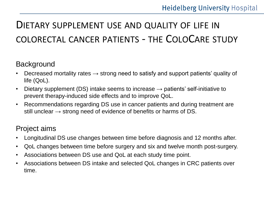## DIETARY SUPPLEMENT USE AND QUALITY OF LIFE IN COLORECTAL CANCER PATIENTS - THE COLOCARE STUDY

#### **Background**

- Decreased mortality rates  $\rightarrow$  strong need to satisfy and support patients' quality of life (QoL).
- Dietary supplement (DS) intake seems to increase  $\rightarrow$  patients' self-initiative to prevent therapy-induced side effects and to improve QoL.
- Recommendations regarding DS use in cancer patients and during treatment are still unclear  $\rightarrow$  strong need of evidence of benefits or harms of DS.

#### Project aims

- Longitudinal DS use changes between time before diagnosis and 12 months after.
- QoL changes between time before surgery and six and twelve month post-surgery.
- Associations between DS use and QoL at each study time point.
- Associations between DS intake and selected QoL changes in CRC patients over time.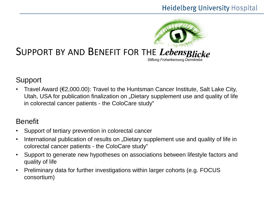

#### Support

• Travel Award (€2,000.00): Travel to the Huntsman Cancer Institute, Salt Lake City, Utah, USA for publication finalization on "Dietary supplement use and quality of life in colorectal cancer patients - the ColoCare study"

#### Benefit

- Support of tertiary prevention in colorectal cancer
- International publication of results on "Dietary supplement use and quality of life in colorectal cancer patients - the ColoCare study"
- Support to generate new hypotheses on associations between lifestyle factors and quality of life
- Preliminary data for further investigations within larger cohorts (e.g. FOCUS consortium)